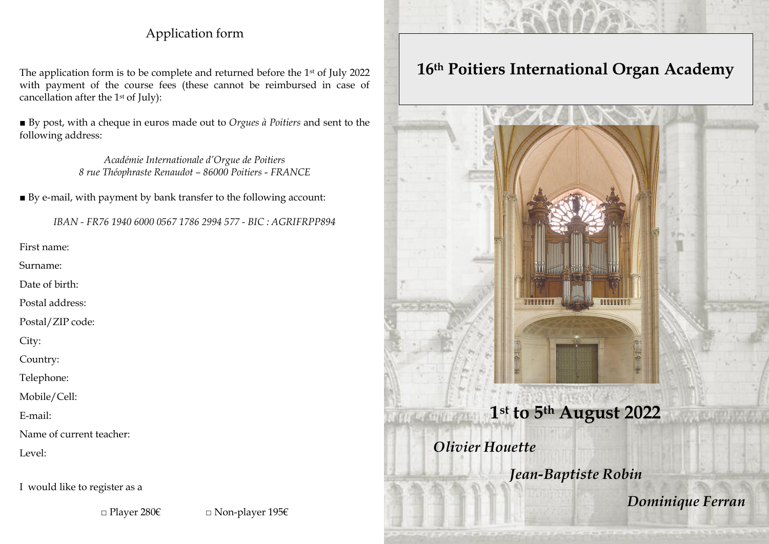## Application form

The application form is to be complete and returned before the 1st of July 2022 with payment of the course fees (these cannot be reimbursed in case of cancellation after the 1st of July):

■ By post, with a cheque in euros made out to *Orgues à Poitiers* and sent to the following address:

> *Académie Internationale d'Orgue de Poitiers 8 rue Théophraste Renaudot – 86000 Poitiers* - *FRANCE*

■ By e-mail, with payment by bank transfer to the following account:

*IBAN - FR76 1940 6000 0567 1786 2994 577 - BIC : AGRIFRPP894*

First name:

Surname:

Date of birth:

Postal address:

Postal/ZIP code:

City:

Country:

Telephone:

Mobile/Cell:

E-mail:

Name of current teacher:

Level:

I would like to register as a

□ Player 280€ □ Non-player 195€

# **16th Poitiers International Organ Academy**

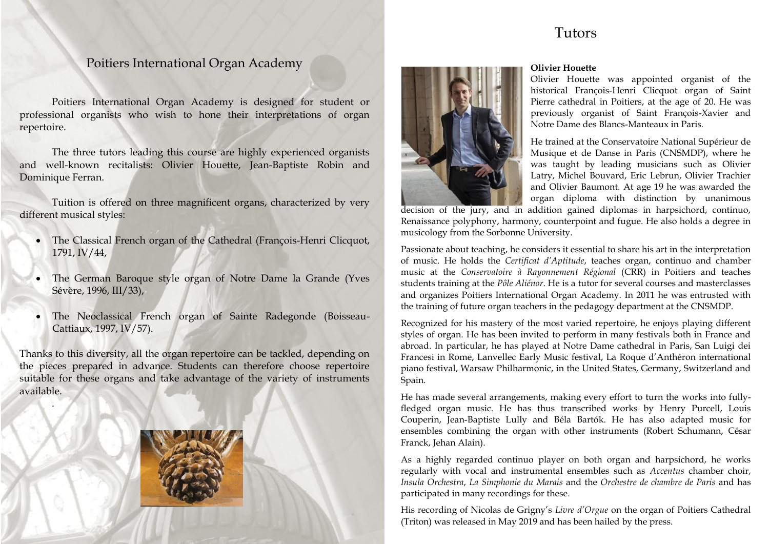## Tutors

## Poitiers International Organ Academy

Poitiers International Organ Academy is designed for student or professional organists who wish to hone their interpretations of organ repertoire.

The three tutors leading this course are highly experienced organists and well-known recitalists: Olivier Houette, Jean-Baptiste Robin and Dominique Ferran.

Tuition is offered on three magnificent organs, characterized by very different musical styles:

- The Classical French organ of the Cathedral (François-Henri Clicquot, 1791, IV/44,
- The German Baroque style organ of Notre Dame la Grande (Yves Sévère, 1996, III/33),
- The Neoclassical French organ of Sainte Radegonde (Boisseau-Cattiaux, 1997, IV/57).

Thanks to this diversity, all the organ repertoire can be tackled, depending on the pieces prepared in advance. Students can therefore choose repertoire suitable for these organs and take advantage of the variety of instruments available.



.



#### **Olivier Houette**

Olivier Houette was appointed organist of the historical François-Henri Clicquot organ of Saint Pierre cathedral in Poitiers, at the age of 20. He was previously organist of Saint François-Xavier and Notre Dame des Blancs-Manteaux in Paris.

He trained at the Conservatoire National Supérieur de Musique et de Danse in Paris (CNSMDP), where he was taught by leading musicians such as Olivier Latry, Michel Bouvard, Eric Lebrun, Olivier Trachier and Olivier Baumont. At age 19 he was awarded the organ diploma with distinction by unanimous

decision of the jury, and in addition gained diplomas in harpsichord, continuo, Renaissance polyphony, harmony, counterpoint and fugue. He also holds a degree in musicology from the Sorbonne University.

Passionate about teaching, he considers it essential to share his art in the interpretation of music. He holds the *Certificat d'Aptitude*, teaches organ, continuo and chamber music at the *Conservatoire à Rayonnement Régional* (CRR) in Poitiers and teaches students training at the *Pôle Aliénor*. He is a tutor for several courses and masterclasses and organizes Poitiers International Organ Academy. In 2011 he was entrusted with the training of future organ teachers in the pedagogy department at the CNSMDP.

Recognized for his mastery of the most varied repertoire, he enjoys playing different styles of organ. He has been invited to perform in many festivals both in France and abroad. In particular, he has played at Notre Dame cathedral in Paris, San Luigi dei Francesi in Rome, Lanvellec Early Music festival, La Roque d'Anthéron international piano festival, Warsaw Philharmonic, in the United States, Germany, Switzerland and Spain.

He has made several arrangements, making every effort to turn the works into fullyfledged organ music. He has thus transcribed works by Henry Purcell, Louis Couperin, Jean-Baptiste Lully and Béla Bartók. He has also adapted music for ensembles combining the organ with other instruments (Robert Schumann, César Franck, Jehan Alain).

As a highly regarded continuo player on both organ and harpsichord, he works regularly with vocal and instrumental ensembles such as *Accentus* chamber choir, *Insula Orchestra*, *La Simphonie du Marais* and the *Orchestre de chambre de Paris* and has participated in many recordings for these.

His recording of Nicolas de Grigny's *Livre d'Orgue* on the organ of Poitiers Cathedral (Triton) was released in May 2019 and has been hailed by the press.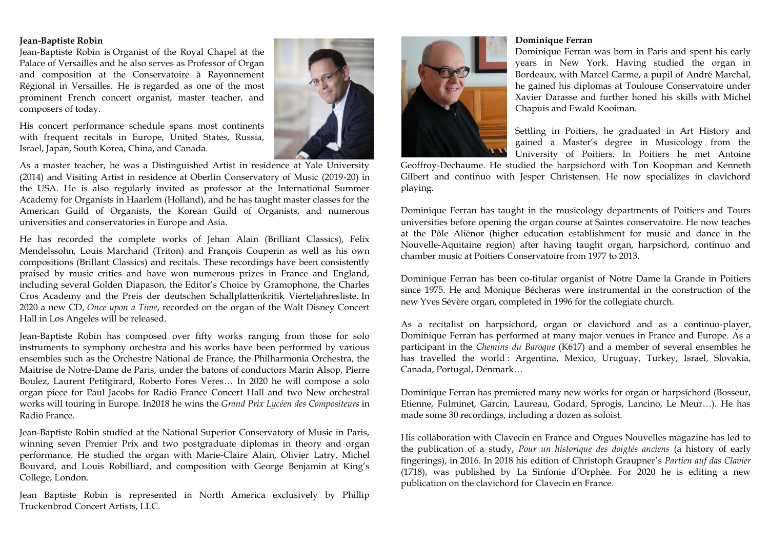#### **Jean-Baptiste Robin**

.

Jean-Baptiste Robin is Organist of the Royal Chapel at the Palace of Versailles and he also serves as Professor of Organ and composition at the Conservatoire à Rayonnement Régional in Versailles. He is regarded as one of the most prominent French concert organist, master teacher, and composers of today.

His concert performance schedule spans most continents with frequent recitals in Europe, United States, Russia, Israel, Japan, South Korea, China, and Canada.



As a master teacher, he was a Distinguished Artist in residence at Yale University (2014) and Visiting Artist in residence at Oberlin Conservatory of Music (2019-20) in the USA. He is also regularly invited as professor at the International Summer Academy for Organists in Haarlem (Holland), and he has taught master classes for the American Guild of Organists, the Korean Guild of Organists, and numerous universities and conservatories in Europe and Asia.

He has recorded the complete works of Jehan Alain (Brilliant Classics), Felix Mendelssohn, Louis Marchand (Triton) and François Couperin as well as his own compositions (Brillant Classics) and recitals. These recordings have been consistently praised by music critics and have won numerous prizes in France and England, including several Golden Diapason, the Editor's Choice by Gramophone, the Charles Cros Academy and the Preis der deutschen Schallplattenkritik Vierteljahresliste. In 2020 a new CD, *Once upon a Time*, recorded on the organ of the Walt Disney Concert Hall in Los Angeles will be released.

Jean-Baptiste Robin has composed over fifty works ranging from those for solo instruments to symphony orchestra and his works have been performed by various ensembles such as the Orchestre National de France, the Philharmonia Orchestra, the Maitrise de Notre-Dame de Paris, under the batons of conductors Marin Alsop, Pierre Boulez, Laurent Petitgirard, Roberto Fores Veres… In 2020 he will compose a solo organ piece for Paul Jacobs for Radio France Concert Hall and two New orchestral works will touring in Europe. In2018 he wins the *Grand Prix Lycéen des Compositeurs* in Radio France.

Jean-Baptiste Robin studied at the National Superior Conservatory of Music in Paris, winning seven Premier Prix and two postgraduate diplomas in theory and organ performance. He studied the organ with Marie-Claire Alain, Olivier Latry, Michel Bouvard, and Louis Robilliard, and composition with George Benjamin at King's College, London.

Jean Baptiste Robin is represented in North America exclusively by Phillip Truckenbrod Concert Artists, LLC.



#### **Dominique Ferran**

Dominique Ferran was born in Paris and spent his early years in New York. Having studied the organ in Bordeaux, with Marcel Carme, a pupil of André Marchal, he gained his diplomas at Toulouse Conservatoire under Xavier Darasse and further honed his skills with Michel Chapuis and Ewald Kooiman.

Settling in Poitiers, he graduated in Art History and gained a Master's degree in Musicology from the University of Poitiers. In Poitiers he met Antoine

Geoffroy-Dechaume. He studied the harpsichord with Ton Koopman and Kenneth Gilbert and continuo with Jesper Christensen. He now specializes in clavichord playing.

Dominique Ferran has taught in the musicology departments of Poitiers and Tours universities before opening the organ course at Saintes conservatoire. He now teaches at the Pôle Aliénor (higher education establishment for music and dance in the Nouvelle-Aquitaine region) after having taught organ, harpsichord, continuo and chamber music at Poitiers Conservatoire from 1977 to 2013.

Dominique Ferran has been co-titular organist of Notre Dame la Grande in Poitiers since 1975. He and Monique Bécheras were instrumental in the construction of the new Yves Sévère organ, completed in 1996 for the collegiate church.

As a recitalist on harpsichord, organ or clavichord and as a continuo-player, Dominique Ferran has performed at many major venues in France and Europe. As a participant in the *Chemins du Baroque* (K617) and a member of several ensembles he has travelled the world : Argentina, Mexico, Uruguay, Turkey, Israel, Slovakia, Canada, Portugal, Denmark…

Dominique Ferran has premiered many new works for organ or harpsichord (Bosseur, Etienne, Fulminet, Garcin, Laureau, Godard, Sprogis, Lancino, Le Meur…). He has made some 30 recordings, including a dozen as soloist.

His collaboration with Clavecin en France and Orgues Nouvelles magazine has led to the publication of a study, *Pour un historique des doigtés anciens* (a history of early fingerings), in 2016. In 2018 his edition of Christoph Graupner's *Partien auf das Clavier* (1718), was published by La Sinfonie d'Orphée. For 2020 he is editing a new publication on the clavichord for Clavecin en France.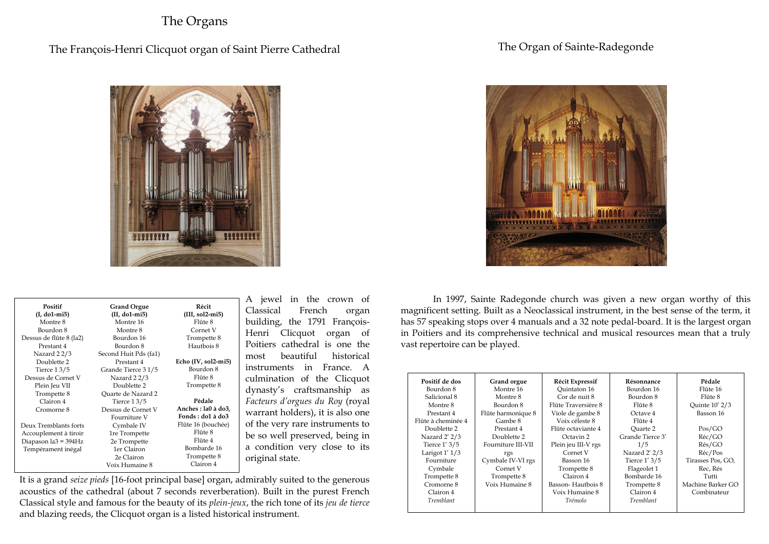### The Organs

### The François-Henri Clicquot organ of Saint Pierre Cathedral

#### The Organ of Sainte-Radegonde



| Positif                 | <b>Grand Orgue</b>    | Récit               |
|-------------------------|-----------------------|---------------------|
| (I, do1-mi5)            | $(II, d01-mi5)$       | $(III, sol2-mi5)$   |
| Montre 8                | Montre 16             | Flûte 8             |
| Bourdon 8               | Montre 8              | Cornet V            |
| Dessus de flûte 8 (la2) | Bourdon 16            | Trompette 8         |
| Prestant 4              | Bourdon 8             | Hautbois 8          |
| Nazard 22/3             | Second Huit Pds (fa1) |                     |
| Doublette 2             | Prestant 4            | Echo (IV, sol2-mi5) |
| Tierce 13/5             | Grande Tierce 31/5    | Bourdon 8           |
| Dessus de Cornet V      | Nazard 22/3           | Flûte 8             |
| Plein Jeu VII           | Doublette 2           | Trompette 8         |
| Trompette 8             | Quarte de Nazard 2    |                     |
| Clairon 4               | Tierce 13/5           | Pédale              |
| Cromorne 8              | Dessus de Cornet V    | Anches : la0 à do3, |
|                         | Fourniture V          | Fonds: do1 à do3    |
| Deux Tremblants forts   | Cymbale IV            | Flûte 16 (bouchée)  |
| Accouplement à tiroir   | 1re Trompette         | Flûte 8             |
| Diapason la3 = 394Hz    | 2e Trompette          | Flûte 4             |
| Tempérament inégal      | 1er Clairon           | Bombarde 16         |
|                         | 2e Clairon            | Trompette 8         |
|                         | Voix Humaine 8        | Clairon 4           |
|                         |                       |                     |

jewel in the crown of lassical French organ building, the 1791 Françoislenri Clicquot organ of oitiers cathedral is one the ost beautiful historical struments in France. A culmination of the Clicquot dynasty's craftsmanship as *Facteurs d'orgues du Roy* (royal warrant holders), it is also one the very rare instruments to e so well preserved, being in condition very close to its riginal state.

It is a grand *seize pieds* [16-foot principal base] organ, admirably suited to the generous acoustics of the cathedral (about 7 seconds reverberation). Built in the purest French Classical style and famous for the beauty of its *plein-jeux*, the rich tone of its *jeu de tierce* and blazing reeds, the Clicquot organ is a listed historical instrument.



In 1997, Sainte Radegonde church was given a new organ worthy of this magnificent setting. Built as a Neoclassical instrument, in the best sense of the term, it has 57 speaking stops over 4 manuals and a 32 note pedal-board. It is the largest organ in Poitiers and its comprehensive technical and musical resources mean that a truly vast repertoire can be played.

| Positif de dos     | Grand orgue        | <b>Récit Expressif</b> | Résonnance       | Pédale                |
|--------------------|--------------------|------------------------|------------------|-----------------------|
| Bourdon 8          | Montre 16          | Ouintaton 16           | Bourdon 16       | Flûte 16              |
| Salicional 8       | Montre 8           | Cor de nuit 8          | Bourdon 8        | Flûte 8               |
| Montre 8           | Bourdon 8          | Flûte Traversière 8    | Flûte 8          | <b>Ouinte 10' 2/3</b> |
| Prestant 4         | Flûte harmonique 8 | Viole de gambe 8       | Octave 4         | Basson 16             |
| Flûte à cheminée 4 | Gambe 8            | Voix céleste 8         | Flûte 4          |                       |
| Doublette 2        | Prestant 4         | Flûte octaviante 4     | Ouarte 2         | Pos/GO                |
| Nazard 2' 2/3      | Doublette 2        | Octavin 2              | Grande Tierce 3' | Réc/GO                |
| Tierce 1' 3/5      | Fourniture III-VII | Plein jeu III-V rgs    | 1/5              | Rés/GO                |
| Larigot $1'$ $1/3$ | rgs                | Cornet V               | Nazard 2' 2/3    | Réc/Pos               |
| Fourniture         | Cymbale IV-VI rgs  | Basson 16              | Tierce 1' 3/5    | Tirasses Pos, GO,     |
| Cymbale            | Cornet V           | Trompette 8            | Flageolet 1      | Rec, Rés              |
| Trompette 8        | Trompette 8        | Clairon 4              | Bombarde 16      | Tutti                 |
| Cromorne 8         | Voix Humaine 8     | Basson-Hautbois 8      | Trompette 8      | Machine Barker GO     |
| Clairon 4          |                    | Voix Humaine 8         | Clairon 4        | Combinateur           |
| <b>Tremblant</b>   |                    | Trémolo                | Tremblant        |                       |
|                    |                    |                        |                  |                       |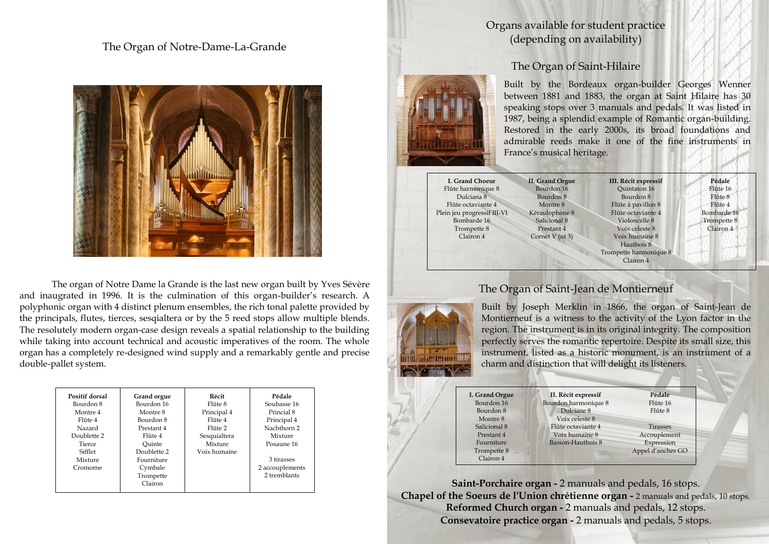#### The Organ of Notre-Dame-La-Grande



The organ of Notre Dame la Grande is the last new organ built by Yves Sévère and inaugrated in 1996. It is the culmination of this organ-builder's research. A polyphonic organ with 4 distinct plenum ensembles, the rich tonal palette provided by the principals, flutes, tierces, sesqialtera or by the 5 reed stops allow multiple blends. The resolutely modern organ-case design reveals a spatial relationship to the building while taking into account technical and acoustic imperatives of the room. The whole organ has a completely re-designed wind supply and a remarkably gentle and precise double-pallet system.

| Positif dorsal<br>Bourdon 8 | Grand orgue<br>Bourdon 16 | Récit<br>Flûte 8 | Pédale<br>Soubasse 16 |
|-----------------------------|---------------------------|------------------|-----------------------|
| Montre 4                    | Montre 8                  | Principal 4      | Princial 8            |
| Flûte 4                     | Bourdon 8                 | Flûte 4          | Principal 4           |
| Nazard                      | Prestant 4                | Flûte 2          | Nachthorn 2           |
| Doublette 2                 | Flûte 4                   | Sesquialtera     | Mixture               |
| Tierce                      | Ouinte                    | Mixture          | Posaune 16            |
| Sifflet                     | Doublette 2               | Voix humaine     |                       |
| Mixture                     | Fourniture                |                  | 3 tirasses            |
| Cromorne                    | Cymbale                   |                  | 2 accouplements       |
|                             | Trompette                 |                  | 2 tremblants          |
|                             | Clairon                   |                  |                       |

### Organs available for student practice (depending on availability)



# The Organ of Saint-Hilaire

Built by the Bordeaux organ-builder Georges Wenner between 1881 and 1883, the organ at Saint Hilaire has 30 speaking stops over 3 manuals and pedals. It was listed in 1987, being a splendid example of Romantic organ-building. Restored in the early 2000s, its broad foundations and admirable reeds make it one of the fine instruments in France's musical heritage.

**I. Grand Choeur** Flûte harmonique 8 Dulciana 8 Flûte octaviante 4 Plein jeu progressif III-VI Bombarde 16 Trompette 8 Clairon 4

**II. Grand Orgue** Bourdon 16 Bourdon 8 Montre 8 Kéraulophone 8 Salicional 8 Prestant 4 Cornet V (ut 3)

**III. Récit expressif** Quintaton 16 Bourdon 8 Flûte à pavillon 8 Flûte octaviante 4 Violoncelle 8 Voix celeste 8 Voix humaine 8 Hautbois 8 Trompette harmonique 8 Clairon 4

**Pédale** Flûte 16 Flûte 8 Flûte 4 Bombarde 16 Trompette 8 Clairon 4

### The Organ of Saint-Jean de Montierneuf



Built by Joseph Merklin in 1866, the organ of Saint-Jean de Montierneuf is a witness to the activity of the Lyon factor in the region. The instrument is in its original integrity. The composition perfectly serves the romantic repertoire. Despite its small size, this instrument, listed as a historic monument, is an instrument of a charm and distinction that will delight its listeners.

| I. Grand Orgue | II. Récit expressif  | Pédale            |
|----------------|----------------------|-------------------|
| Bourdon 16     | Bourdon harmonique 8 | Flûte 16          |
| Bourdon 8      | Dulciane 8           | Flûte 8           |
| Montre 8       | Voix celeste 8       |                   |
| Salicional 8   | Flûte octaviante 4   | <b>Tirasses</b>   |
| Prestant 4     | Voix humaine 8       | Accouplement      |
| Fourniture     | Basson-Hautbois 8    | Expression        |
| Trompette 8    |                      | Appel d'anches GO |
| Clairon 4      |                      |                   |

**Saint-Porchaire organ -** 2 manuals and pedals, 16 stops. **Chapel of the Soeurs de l'Union chrétienne organ -** 2 manuals and pedals, 10 stops. **Reformed Church organ -** 2 manuals and pedals, 12 stops. **Consevatoire practice organ -** 2 manuals and pedals, 5 stops.